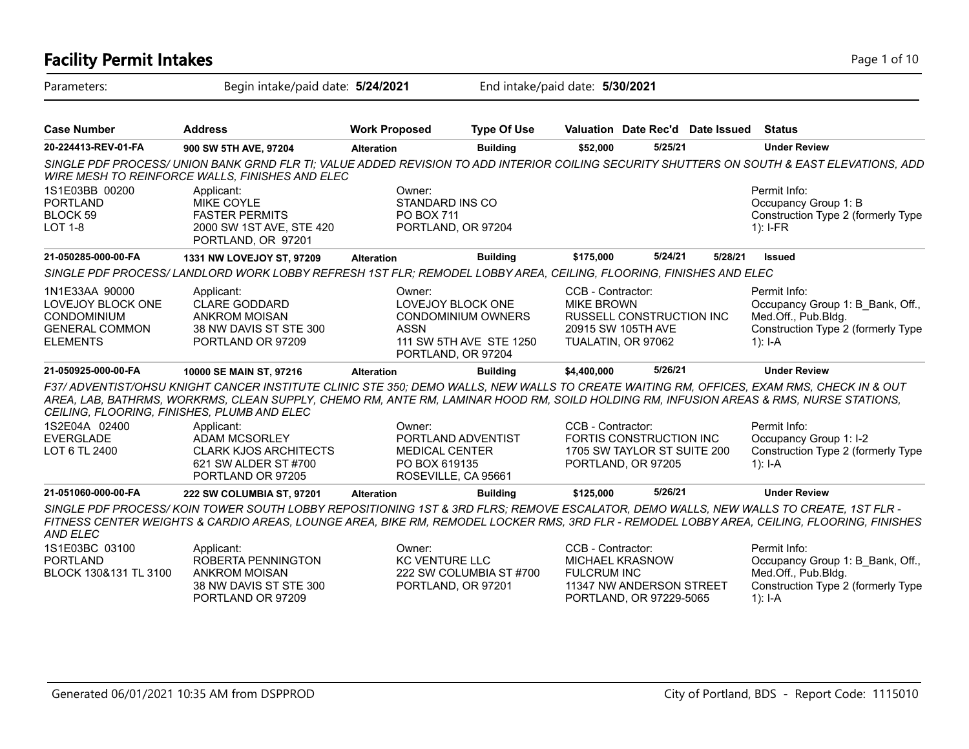### **Facility Permit Intakes** Page 1 of 10 Parameters: Begin intake/paid date: **5/24/2021** End intake/paid date: **5/30/2021 Case Number Address Work Proposed Type Of Use Valuation Date Rec'd Date Issued Status 20-224413-REV-01-FA 900 SW 5TH AVE, 97204 Alteration Building \$52,000 5/25/21 Under Review** *SINGLE PDF PROCESS/ UNION BANK GRND FLR TI; VALUE ADDED REVISION TO ADD INTERIOR COILING SECURITY SHUTTERS ON SOUTH & EAST ELEVATIONS, ADD WIRE MESH TO REINFORCE WALLS, FINISHES AND ELEC* Permit Info: Occupancy Group 1: B Construction Type 2 (formerly Type 1): I-FR Owner: STANDARD INS CO PO BOX 711 PORTLAND, OR 97204 Applicant: MIKE COYLE FASTER PERMITS 2000 SW 1ST AVE, STE 420 PORTLAND, OR 97201 1S1E03BB 00200 PORTLAND BLOCK 59 LOT 1-8 **21-050285-000-00-FA 1331 NW LOVEJOY ST, 97209 Alteration Building \$175,000 5/24/21 5/28/21 Issued** *SINGLE PDF PROCESS/ LANDLORD WORK LOBBY REFRESH 1ST FLR; REMODEL LOBBY AREA, CEILING, FLOORING, FINISHES AND ELEC* Permit Info: Occupancy Group 1: B\_Bank, Off., Med.Off., Pub.Bldg. Construction Type 2 (formerly Type 1): I-A CCB - Contractor: MIKE BROWN RUSSELL CONSTRUCTION INC 20915 SW 105TH AVE TUALATIN, OR 97062 Owner: LOVEJOY BLOCK ONE CONDOMINIUM OWNERS ASSN 111 SW 5TH AVE STE 1250 PORTLAND, OR 97204 Applicant: CLARE GODDARD ANKROM MOISAN 38 NW DAVIS ST STE 300 PORTLAND OR 97209 1N1E33AA 90000 LOVEJOY BLOCK ONE CONDOMINIUM GENERAL COMMON ELEMENTS **21-050925-000-00-FA 10000 SE MAIN ST, 97216 Alteration Building \$4,400,000 5/26/21 Under Review** *F37/ ADVENTIST/OHSU KNIGHT CANCER INSTITUTE CLINIC STE 350; DEMO WALLS, NEW WALLS TO CREATE WAITING RM, OFFICES, EXAM RMS, CHECK IN & OUT AREA, LAB, BATHRMS, WORKRMS, CLEAN SUPPLY, CHEMO RM, ANTE RM, LAMINAR HOOD RM, SOILD HOLDING RM, INFUSION AREAS & RMS, NURSE STATIONS, CEILING, FLOORING, FINISHES, PLUMB AND ELEC* Permit Info: Occupancy Group 1: I-2 Construction Type 2 (formerly Type 1): I-A CCB - Contractor: FORTIS CONSTRUCTION INC 1705 SW TAYLOR ST SUITE 200 PORTLAND, OR 97205 Owner: PORTLAND ADVENTIST MEDICAL CENTER PO BOX 619135 ROSEVILLE, CA 95661 Applicant: ADAM MCSORLEY CLARK KJOS ARCHITECTS 621 SW ALDER ST #700 PORTLAND OR 97205 1S2E04A 02400 EVERGLADE LOT 6 TL 2400 **21-051060-000-00-FA 222 SW COLUMBIA ST, 97201 Alteration Building \$125,000 5/26/21 Under Review** *SINGLE PDF PROCESS/ KOIN TOWER SOUTH LOBBY REPOSITIONING 1ST & 3RD FLRS; REMOVE ESCALATOR, DEMO WALLS, NEW WALLS TO CREATE, 1ST FLR - FITNESS CENTER WEIGHTS & CARDIO AREAS, LOUNGE AREA, BIKE RM, REMODEL LOCKER RMS, 3RD FLR - REMODEL LOBBY AREA, CEILING, FLOORING, FINISHES AND ELEC* Permit Info: Occupancy Group 1: B\_Bank, Off., Med.Off., Pub.Bldg. Construction Type 2 (formerly Type 1): I-A CCB - Contractor: MICHAEL KRASNOW FULCRUM INC 11347 NW ANDERSON STREET PORTLAND, OR 97229-5065 Owner: KC VENTURE LLC 222 SW COLUMBIA ST #700 PORTLAND, OR 97201 Applicant: ROBERTA PENNINGTON ANKROM MOISAN 38 NW DAVIS ST STE 300 PORTLAND OR 97209 1S1E03BC 03100 PORTLAND BLOCK 130&131 TL 3100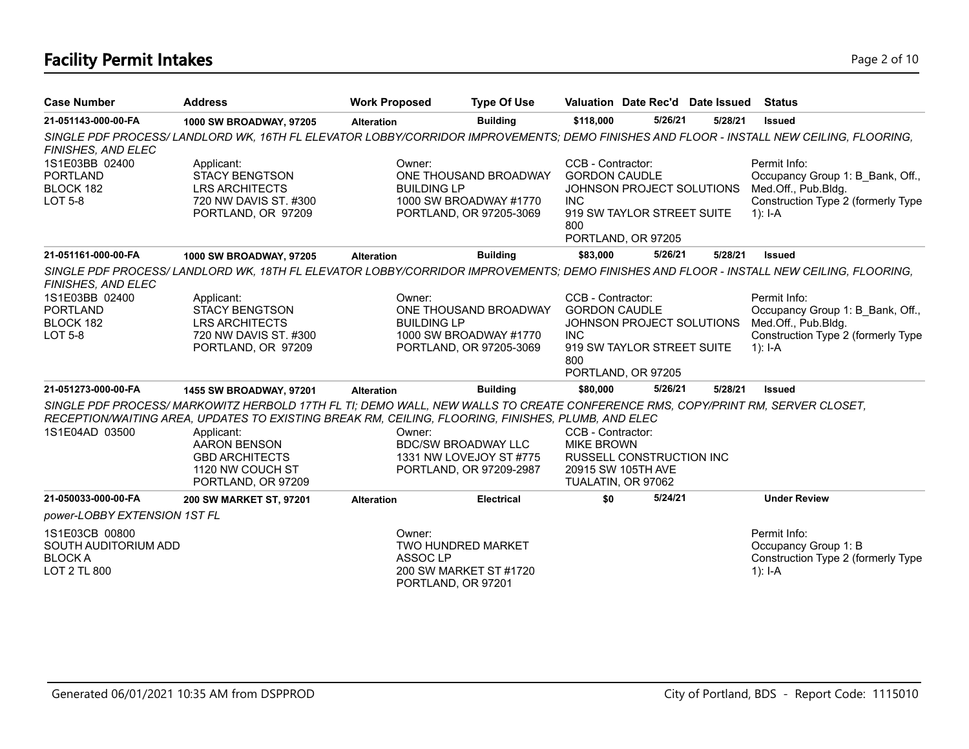# **Facility Permit Intakes** Page 2 of 10

| <b>Case Number</b>                                                       | <b>Address</b>                                                                                                                                                                                                                                                                                                                               | <b>Work Proposed</b>                                                             | <b>Type Of Use</b>                                                         |                                                                                    |                                                                               | Valuation Date Rec'd Date Issued | <b>Status</b>                                                                                                                           |
|--------------------------------------------------------------------------|----------------------------------------------------------------------------------------------------------------------------------------------------------------------------------------------------------------------------------------------------------------------------------------------------------------------------------------------|----------------------------------------------------------------------------------|----------------------------------------------------------------------------|------------------------------------------------------------------------------------|-------------------------------------------------------------------------------|----------------------------------|-----------------------------------------------------------------------------------------------------------------------------------------|
| 21-051143-000-00-FA                                                      | 1000 SW BROADWAY, 97205                                                                                                                                                                                                                                                                                                                      | <b>Alteration</b>                                                                | <b>Building</b>                                                            | \$118,000                                                                          | 5/26/21                                                                       | 5/28/21                          | <b>Issued</b>                                                                                                                           |
| FINISHES, AND ELEC                                                       |                                                                                                                                                                                                                                                                                                                                              |                                                                                  |                                                                            |                                                                                    |                                                                               |                                  | SINGLE PDF PROCESS/ LANDLORD WK, 16TH FL ELEVATOR LOBBY/CORRIDOR IMPROVEMENTS; DEMO FINISHES AND FLOOR - INSTALL NEW CEILING, FLOORING, |
| 1S1E03BB 02400<br><b>PORTLAND</b><br>BLOCK 182<br><b>LOT 5-8</b>         | Applicant:<br><b>STACY BENGTSON</b><br><b>LRS ARCHITECTS</b><br>720 NW DAVIS ST. #300<br>PORTLAND, OR 97209                                                                                                                                                                                                                                  | Owner:<br><b>BUILDING LP</b>                                                     | ONE THOUSAND BROADWAY<br>1000 SW BROADWAY #1770<br>PORTLAND, OR 97205-3069 | CCB - Contractor:<br><b>GORDON CAUDLE</b><br><b>INC</b><br>800                     | JOHNSON PROJECT SOLUTIONS<br>919 SW TAYLOR STREET SUITE<br>PORTLAND, OR 97205 |                                  | Permit Info:<br>Occupancy Group 1: B Bank, Off.,<br>Med.Off., Pub.Bldg.<br>Construction Type 2 (formerly Type<br>$1$ : I-A              |
| 21-051161-000-00-FA                                                      | 1000 SW BROADWAY, 97205                                                                                                                                                                                                                                                                                                                      | <b>Alteration</b>                                                                | <b>Building</b>                                                            | \$83,000                                                                           | 5/26/21                                                                       | 5/28/21                          | <b>Issued</b>                                                                                                                           |
| FINISHES, AND ELEC                                                       |                                                                                                                                                                                                                                                                                                                                              |                                                                                  |                                                                            |                                                                                    |                                                                               |                                  | SINGLE PDF PROCESS/LANDLORD WK, 18TH FL ELEVATOR LOBBY/CORRIDOR IMPROVEMENTS; DEMO FINISHES AND FLOOR - INSTALL NEW CEILING, FLOORING,  |
| 1S1E03BB 02400<br><b>PORTLAND</b><br>BLOCK 182<br><b>LOT 5-8</b>         | Applicant:<br><b>STACY BENGTSON</b><br><b>LRS ARCHITECTS</b><br>720 NW DAVIS ST. #300<br>PORTLAND, OR 97209                                                                                                                                                                                                                                  | Owner:<br><b>BUILDING LP</b>                                                     | ONE THOUSAND BROADWAY<br>1000 SW BROADWAY #1770<br>PORTLAND, OR 97205-3069 | CCB - Contractor:<br><b>GORDON CAUDLE</b><br><b>INC</b><br>800                     | JOHNSON PROJECT SOLUTIONS<br>919 SW TAYLOR STREET SUITE<br>PORTLAND, OR 97205 |                                  | Permit Info:<br>Occupancy Group 1: B Bank, Off.,<br>Med.Off., Pub.Bldg.<br>Construction Type 2 (formerly Type<br>$1$ : I-A              |
| 21-051273-000-00-FA                                                      | 1455 SW BROADWAY, 97201                                                                                                                                                                                                                                                                                                                      | <b>Alteration</b>                                                                | <b>Building</b>                                                            | \$80,000                                                                           | 5/26/21                                                                       | 5/28/21                          | <b>Issued</b>                                                                                                                           |
| 1S1E04AD 03500                                                           | SINGLE PDF PROCESS/ MARKOWITZ HERBOLD 17TH FL TI; DEMO WALL, NEW WALLS TO CREATE CONFERENCE RMS, COPY/PRINT RM, SERVER CLOSET,<br>RECEPTION/WAITING AREA, UPDATES TO EXISTING BREAK RM, CEILING, FLOORING, FINISHES, PLUMB, AND ELEC<br>Applicant:<br><b>AARON BENSON</b><br><b>GBD ARCHITECTS</b><br>1120 NW COUCH ST<br>PORTLAND, OR 97209 | Owner:<br><b>BDC/SW BROADWAY LLC</b>                                             | 1331 NW LOVEJOY ST #775<br>PORTLAND, OR 97209-2987                         | CCB - Contractor:<br><b>MIKE BROWN</b><br>20915 SW 105TH AVE<br>TUALATIN, OR 97062 | <b>RUSSELL CONSTRUCTION INC</b>                                               |                                  |                                                                                                                                         |
| 21-050033-000-00-FA                                                      | 200 SW MARKET ST, 97201                                                                                                                                                                                                                                                                                                                      | <b>Alteration</b>                                                                | <b>Electrical</b>                                                          | \$0                                                                                | 5/24/21                                                                       |                                  | <b>Under Review</b>                                                                                                                     |
| power-LOBBY EXTENSION 1ST FL                                             |                                                                                                                                                                                                                                                                                                                                              |                                                                                  |                                                                            |                                                                                    |                                                                               |                                  |                                                                                                                                         |
| 1S1E03CB 00800<br>SOUTH AUDITORIUM ADD<br><b>BLOCK A</b><br>LOT 2 TL 800 |                                                                                                                                                                                                                                                                                                                                              | Owner:<br><b>TWO HUNDRED MARKET</b><br>ASSOC <sub>LP</sub><br>PORTLAND, OR 97201 | 200 SW MARKET ST #1720                                                     |                                                                                    |                                                                               |                                  | Permit Info:<br>Occupancy Group 1: B<br>Construction Type 2 (formerly Type<br>1): $I-A$                                                 |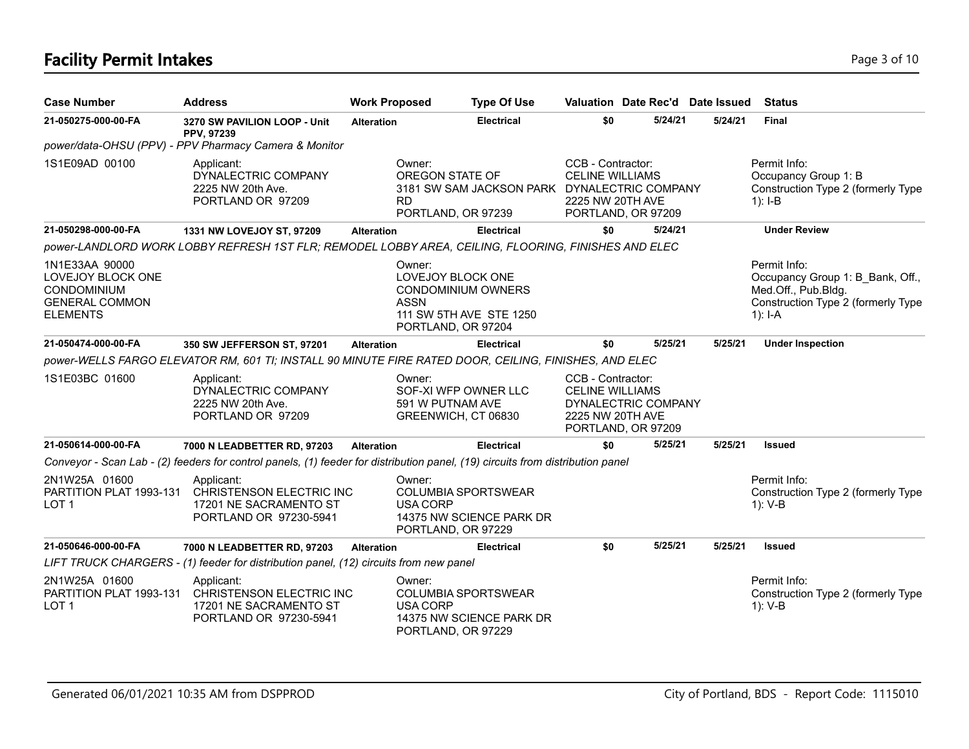# **Facility Permit Intakes** Page 3 of 10

| <b>Case Number</b>                                                                                           | <b>Address</b>                                                                                                                 | <b>Work Proposed</b> |                                                              | <b>Type Of Use</b>                                     | Valuation Date Rec'd Date Issued                                                                             |         |         | <b>Status</b>                                                                                                              |
|--------------------------------------------------------------------------------------------------------------|--------------------------------------------------------------------------------------------------------------------------------|----------------------|--------------------------------------------------------------|--------------------------------------------------------|--------------------------------------------------------------------------------------------------------------|---------|---------|----------------------------------------------------------------------------------------------------------------------------|
| 21-050275-000-00-FA                                                                                          | 3270 SW PAVILION LOOP - Unit<br>PPV, 97239                                                                                     | <b>Alteration</b>    |                                                              | <b>Electrical</b>                                      | \$0                                                                                                          | 5/24/21 | 5/24/21 | <b>Final</b>                                                                                                               |
|                                                                                                              | power/data-OHSU (PPV) - PPV Pharmacy Camera & Monitor                                                                          |                      |                                                              |                                                        |                                                                                                              |         |         |                                                                                                                            |
| 1S1E09AD 00100                                                                                               | Applicant:<br>DYNALECTRIC COMPANY<br>2225 NW 20th Ave.<br>PORTLAND OR 97209                                                    |                      | Owner:<br>OREGON STATE OF<br><b>RD</b><br>PORTLAND, OR 97239 | 3181 SW SAM JACKSON PARK DYNALECTRIC COMPANY           | CCB - Contractor:<br><b>CELINE WILLIAMS</b><br>2225 NW 20TH AVE<br>PORTLAND, OR 97209                        |         |         | Permit Info:<br>Occupancy Group 1: B<br>Construction Type 2 (formerly Type<br>$1$ : I-B                                    |
| 21-050298-000-00-FA                                                                                          | 1331 NW LOVEJOY ST, 97209                                                                                                      | <b>Alteration</b>    |                                                              | <b>Electrical</b>                                      | \$0                                                                                                          | 5/24/21 |         | <b>Under Review</b>                                                                                                        |
|                                                                                                              | power-LANDLORD WORK LOBBY REFRESH 1ST FLR; REMODEL LOBBY AREA, CEILING, FLOORING, FINISHES AND ELEC                            |                      |                                                              |                                                        |                                                                                                              |         |         |                                                                                                                            |
| 1N1E33AA 90000<br><b>LOVEJOY BLOCK ONE</b><br><b>CONDOMINIUM</b><br><b>GENERAL COMMON</b><br><b>ELEMENTS</b> |                                                                                                                                |                      | Owner:<br>LOVEJOY BLOCK ONE<br>ASSN<br>PORTLAND, OR 97204    | CONDOMINIUM OWNERS<br>111 SW 5TH AVE STE 1250          |                                                                                                              |         |         | Permit Info:<br>Occupancy Group 1: B Bank, Off.,<br>Med.Off., Pub.Bldg.<br>Construction Type 2 (formerly Type<br>$1$ : I-A |
| 21-050474-000-00-FA                                                                                          | 350 SW JEFFERSON ST, 97201                                                                                                     | <b>Alteration</b>    |                                                              | <b>Electrical</b>                                      | \$0                                                                                                          | 5/25/21 | 5/25/21 | <b>Under Inspection</b>                                                                                                    |
|                                                                                                              | power-WELLS FARGO ELEVATOR RM, 601 TI; INSTALL 90 MINUTE FIRE RATED DOOR, CEILING, FINISHES, AND ELEC                          |                      |                                                              |                                                        |                                                                                                              |         |         |                                                                                                                            |
| 1S1E03BC 01600                                                                                               | Applicant:<br>DYNALECTRIC COMPANY<br>2225 NW 20th Ave.<br>PORTLAND OR 97209                                                    |                      | Owner:<br>591 W PUTNAM AVE<br>GREENWICH, CT 06830            | SOF-XI WFP OWNER LLC                                   | CCB - Contractor:<br><b>CELINE WILLIAMS</b><br>DYNALECTRIC COMPANY<br>2225 NW 20TH AVE<br>PORTLAND, OR 97209 |         |         |                                                                                                                            |
| 21-050614-000-00-FA                                                                                          | 7000 N LEADBETTER RD, 97203                                                                                                    | <b>Alteration</b>    |                                                              | <b>Electrical</b>                                      | \$0                                                                                                          | 5/25/21 | 5/25/21 | <b>Issued</b>                                                                                                              |
|                                                                                                              | Conveyor - Scan Lab - (2) feeders for control panels, (1) feeder for distribution panel, (19) circuits from distribution panel |                      |                                                              |                                                        |                                                                                                              |         |         |                                                                                                                            |
| 2N1W25A 01600<br>PARTITION PLAT 1993-131<br>LOT <sub>1</sub>                                                 | Applicant:<br>CHRISTENSON ELECTRIC INC<br>17201 NE SACRAMENTO ST<br>PORTLAND OR 97230-5941                                     |                      | Owner:<br><b>USA CORP</b><br>PORTLAND, OR 97229              | <b>COLUMBIA SPORTSWEAR</b><br>14375 NW SCIENCE PARK DR |                                                                                                              |         |         | Permit Info:<br>Construction Type 2 (formerly Type<br>1): V-B                                                              |
| 21-050646-000-00-FA                                                                                          | 7000 N LEADBETTER RD, 97203                                                                                                    | <b>Alteration</b>    |                                                              | <b>Electrical</b>                                      | \$0                                                                                                          | 5/25/21 | 5/25/21 | <b>Issued</b>                                                                                                              |
|                                                                                                              | LIFT TRUCK CHARGERS - (1) feeder for distribution panel, (12) circuits from new panel                                          |                      |                                                              |                                                        |                                                                                                              |         |         |                                                                                                                            |
| 2N1W25A 01600<br>PARTITION PLAT 1993-131<br>LOT <sub>1</sub>                                                 | Applicant:<br>CHRISTENSON ELECTRIC INC<br>17201 NE SACRAMENTO ST<br>PORTLAND OR 97230-5941                                     |                      | Owner:<br>USA CORP<br>PORTLAND, OR 97229                     | <b>COLUMBIA SPORTSWEAR</b><br>14375 NW SCIENCE PARK DR |                                                                                                              |         |         | Permit Info:<br>Construction Type 2 (formerly Type<br>$1): V-B$                                                            |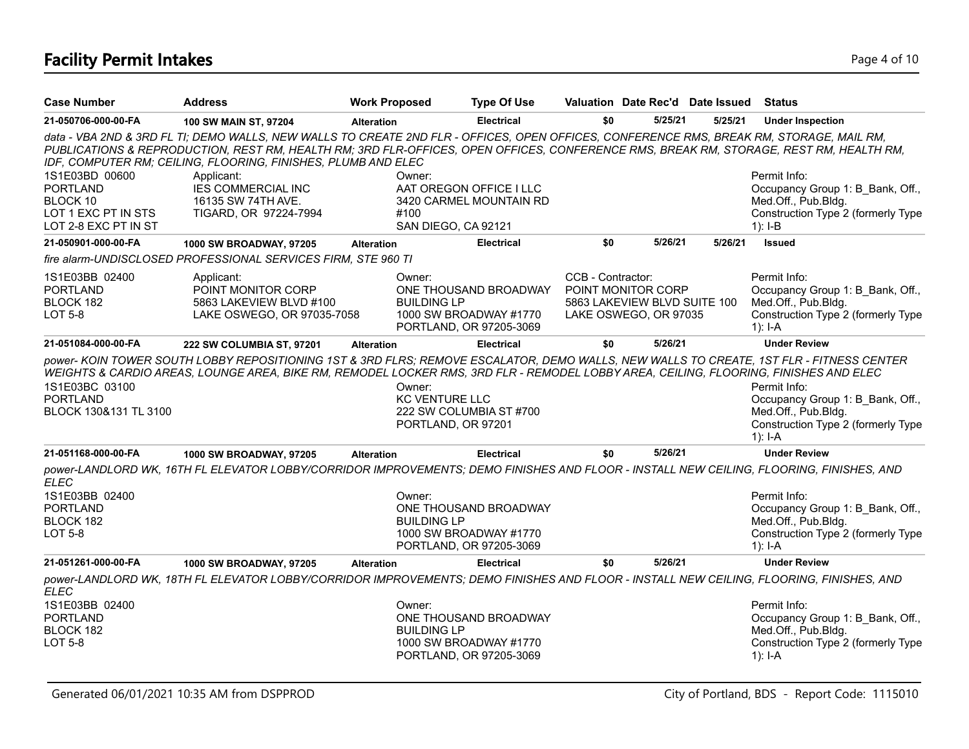# **Facility Permit Intakes** Page 4 of 10

| <b>Case Number</b>                                                                           | <b>Address</b>                                                                                                                                                                                                                                                                                                                                      | <b>Work Proposed</b>            | <b>Type Of Use</b>                                                         | Valuation Date Rec'd Date Issued Status                                                          |         |         |                                                                                                                              |
|----------------------------------------------------------------------------------------------|-----------------------------------------------------------------------------------------------------------------------------------------------------------------------------------------------------------------------------------------------------------------------------------------------------------------------------------------------------|---------------------------------|----------------------------------------------------------------------------|--------------------------------------------------------------------------------------------------|---------|---------|------------------------------------------------------------------------------------------------------------------------------|
| 21-050706-000-00-FA                                                                          | 100 SW MAIN ST, 97204                                                                                                                                                                                                                                                                                                                               | <b>Alteration</b>               | <b>Electrical</b>                                                          | \$0                                                                                              | 5/25/21 | 5/25/21 | <b>Under Inspection</b>                                                                                                      |
|                                                                                              | data - VBA 2ND & 3RD FL TI; DEMO WALLS, NEW WALLS TO CREATE 2ND FLR - OFFICES, OPEN OFFICES, CONFERENCE RMS, BREAK RM, STORAGE, MAIL RM,<br>PUBLICATIONS & REPRODUCTION, REST RM, HEALTH RM; 3RD FLR-OFFICES, OPEN OFFICES, CONFERENCE RMS, BREAK RM, STORAGE, REST RM, HEALTH RM,<br>IDF, COMPUTER RM; CEILING, FLOORING, FINISHES, PLUMB AND ELEC |                                 |                                                                            |                                                                                                  |         |         |                                                                                                                              |
| 1S1E03BD 00600<br><b>PORTLAND</b><br>BLOCK 10<br>LOT 1 EXC PT IN STS<br>LOT 2-8 EXC PT IN ST | Applicant:<br><b>IES COMMERCIAL INC</b><br>16135 SW 74TH AVE.<br>TIGARD, OR 97224-7994                                                                                                                                                                                                                                                              | Owner:<br>#100                  | AAT OREGON OFFICE I LLC<br>3420 CARMEL MOUNTAIN RD<br>SAN DIEGO, CA 92121  |                                                                                                  |         |         | Permit Info:<br>Occupancy Group 1: B Bank, Off.,<br>Med.Off., Pub.Bldg.<br>Construction Type 2 (formerly Type<br>$1$ : I-B   |
| 21-050901-000-00-FA                                                                          | 1000 SW BROADWAY, 97205                                                                                                                                                                                                                                                                                                                             | <b>Alteration</b>               | <b>Electrical</b>                                                          | \$0                                                                                              | 5/26/21 | 5/26/21 | <b>Issued</b>                                                                                                                |
|                                                                                              | fire alarm-UNDISCLOSED PROFESSIONAL SERVICES FIRM, STE 960 TI                                                                                                                                                                                                                                                                                       |                                 |                                                                            |                                                                                                  |         |         |                                                                                                                              |
| 1S1E03BB 02400<br><b>PORTLAND</b><br>BLOCK 182<br><b>LOT 5-8</b>                             | Applicant:<br>POINT MONITOR CORP<br>5863 LAKEVIEW BLVD #100<br>LAKE OSWEGO, OR 97035-7058                                                                                                                                                                                                                                                           | Owner:<br><b>BUILDING LP</b>    | ONE THOUSAND BROADWAY<br>1000 SW BROADWAY #1770<br>PORTLAND, OR 97205-3069 | CCB - Contractor:<br>POINT MONITOR CORP<br>5863 LAKEVIEW BLVD SUITE 100<br>LAKE OSWEGO, OR 97035 |         |         | Permit Info:<br>Occupancy Group 1: B Bank, Off.,<br>Med.Off., Pub.Bldg.<br>Construction Type 2 (formerly Type<br>1): $I - A$ |
| 21-051084-000-00-FA                                                                          | 222 SW COLUMBIA ST, 97201                                                                                                                                                                                                                                                                                                                           | <b>Alteration</b>               | <b>Electrical</b>                                                          | \$0                                                                                              | 5/26/21 |         | <b>Under Review</b>                                                                                                          |
| 1S1E03BC 03100<br><b>PORTLAND</b><br>BLOCK 130&131 TL 3100                                   | power- KOIN TOWER SOUTH LOBBY REPOSITIONING 1ST & 3RD FLRS; REMOVE ESCALATOR, DEMO WALLS, NEW WALLS TO CREATE, 1ST FLR - FITNESS CENTER<br>WEIGHTS & CARDIO AREAS, LOUNGE AREA, BIKE RM, REMODEL LOCKER RMS, 3RD FLR - REMODEL LOBBY AREA, CEILING, FLOORING, FINISHES AND ELEC                                                                     | Owner:<br><b>KC VENTURE LLC</b> | 222 SW COLUMBIA ST #700<br>PORTLAND, OR 97201                              |                                                                                                  |         |         | Permit Info:<br>Occupancy Group 1: B Bank, Off.,<br>Med.Off., Pub.Bldg.<br>Construction Type 2 (formerly Type<br>$1$ : I-A   |
| 21-051168-000-00-FA                                                                          | 1000 SW BROADWAY, 97205                                                                                                                                                                                                                                                                                                                             | <b>Alteration</b>               | <b>Electrical</b>                                                          | \$0                                                                                              | 5/26/21 |         | <b>Under Review</b>                                                                                                          |
| <b>ELEC</b><br>1S1E03BB 02400                                                                | power-LANDLORD WK, 16TH FL ELEVATOR LOBBY/CORRIDOR IMPROVEMENTS; DEMO FINISHES AND FLOOR - INSTALL NEW CEILING, FLOORING, FINISHES, AND                                                                                                                                                                                                             | Owner:                          |                                                                            |                                                                                                  |         |         | Permit Info:                                                                                                                 |
| <b>PORTLAND</b><br>BLOCK 182<br><b>LOT 5-8</b>                                               |                                                                                                                                                                                                                                                                                                                                                     | <b>BUILDING LP</b>              | ONE THOUSAND BROADWAY<br>1000 SW BROADWAY #1770<br>PORTLAND, OR 97205-3069 |                                                                                                  |         |         | Occupancy Group 1: B Bank, Off.,<br>Med.Off., Pub.Bldg.<br>Construction Type 2 (formerly Type<br>$1$ : I-A                   |
| 21-051261-000-00-FA                                                                          | 1000 SW BROADWAY, 97205                                                                                                                                                                                                                                                                                                                             | <b>Alteration</b>               | <b>Electrical</b>                                                          | \$0                                                                                              | 5/26/21 |         | <b>Under Review</b>                                                                                                          |
| <b>ELEC</b>                                                                                  | power-LANDLORD WK, 18TH FL ELEVATOR LOBBY/CORRIDOR IMPROVEMENTS; DEMO FINISHES AND FLOOR - INSTALL NEW CEILING, FLOORING, FINISHES, AND                                                                                                                                                                                                             |                                 |                                                                            |                                                                                                  |         |         |                                                                                                                              |
| 1S1E03BB 02400<br><b>PORTLAND</b><br>BLOCK 182<br><b>LOT 5-8</b>                             |                                                                                                                                                                                                                                                                                                                                                     | Owner:<br><b>BUILDING LP</b>    | ONE THOUSAND BROADWAY<br>1000 SW BROADWAY #1770<br>PORTLAND, OR 97205-3069 |                                                                                                  |         |         | Permit Info:<br>Occupancy Group 1: B Bank, Off.,<br>Med.Off., Pub.Bldg.<br>Construction Type 2 (formerly Type<br>1): $I - A$ |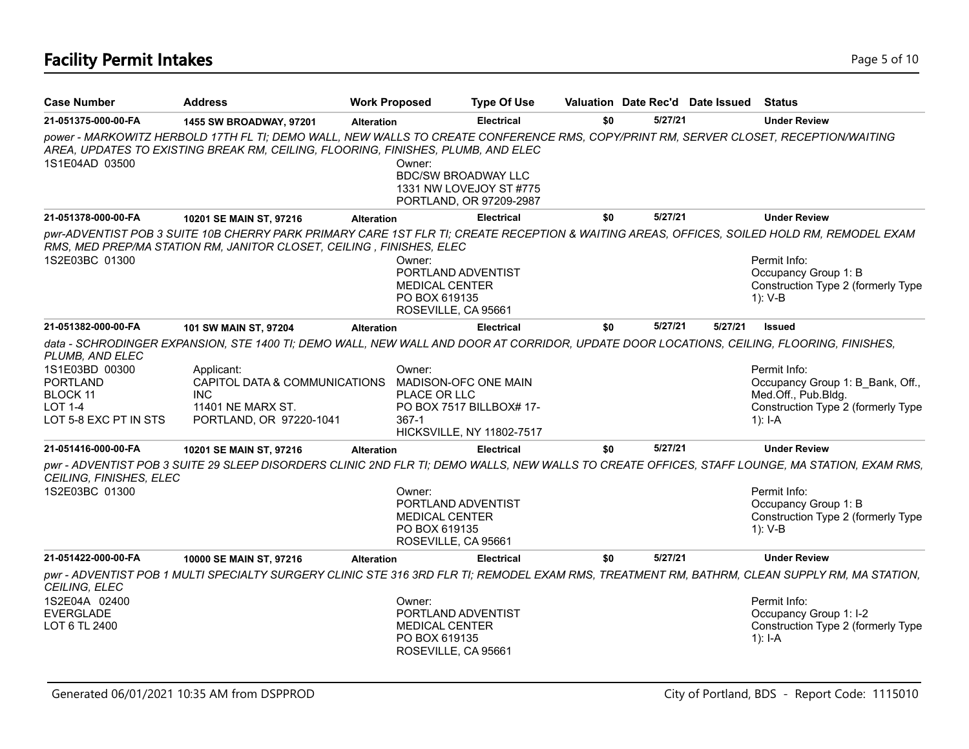# **Facility Permit Intakes** Page 5 of 10

| <b>Case Number</b>                                                                       | <b>Address</b>                                                                                                                                                                                                           | <b>Work Proposed</b> |                                                                                               | <b>Type Of Use</b>                                           |     |         | Valuation Date Rec'd Date Issued Status |                                                                                                                            |
|------------------------------------------------------------------------------------------|--------------------------------------------------------------------------------------------------------------------------------------------------------------------------------------------------------------------------|----------------------|-----------------------------------------------------------------------------------------------|--------------------------------------------------------------|-----|---------|-----------------------------------------|----------------------------------------------------------------------------------------------------------------------------|
| 21-051375-000-00-FA                                                                      | 1455 SW BROADWAY, 97201                                                                                                                                                                                                  | <b>Alteration</b>    |                                                                                               | <b>Electrical</b>                                            | \$0 | 5/27/21 |                                         | <b>Under Review</b>                                                                                                        |
|                                                                                          | power - MARKOWITZ HERBOLD 17TH FL TI; DEMO WALL, NEW WALLS TO CREATE CONFERENCE RMS, COPY/PRINT RM, SERVER CLOSET, RECEPTION/WAITING<br>AREA, UPDATES TO EXISTING BREAK RM, CEILING, FLOORING, FINISHES, PLUMB, AND ELEC |                      |                                                                                               |                                                              |     |         |                                         |                                                                                                                            |
| 1S1E04AD 03500                                                                           |                                                                                                                                                                                                                          |                      | Owner:<br><b>BDC/SW BROADWAY LLC</b>                                                          | 1331 NW LOVEJOY ST #775<br>PORTLAND, OR 97209-2987           |     |         |                                         |                                                                                                                            |
| 21-051378-000-00-FA                                                                      | 10201 SE MAIN ST, 97216                                                                                                                                                                                                  | <b>Alteration</b>    |                                                                                               | <b>Electrical</b>                                            | \$0 | 5/27/21 |                                         | <b>Under Review</b>                                                                                                        |
|                                                                                          | DWI-ADVENTIST POB 3 SUITE 10B CHERRY PARK PRIMARY CARE 1ST FLR TI; CREATE RECEPTION & WAITING AREAS, OFFICES, SOILED HOLD RM, REMODEL EXAM<br>RMS, MED PREP/MA STATION RM, JANITOR CLOSET, CEILING, FINISHES, ELEC       |                      |                                                                                               |                                                              |     |         |                                         |                                                                                                                            |
| 1S2E03BC 01300                                                                           |                                                                                                                                                                                                                          |                      | Owner:<br>PORTLAND ADVENTIST<br><b>MEDICAL CENTER</b><br>PO BOX 619135<br>ROSEVILLE, CA 95661 |                                                              |     |         |                                         | Permit Info:<br>Occupancy Group 1: B<br>Construction Type 2 (formerly Type<br>1): V-B                                      |
| 21-051382-000-00-FA                                                                      | 101 SW MAIN ST, 97204                                                                                                                                                                                                    | <b>Alteration</b>    |                                                                                               | <b>Electrical</b>                                            | \$0 | 5/27/21 | 5/27/21                                 | <b>Issued</b>                                                                                                              |
| PLUMB, AND ELEC                                                                          | data - SCHRODINGER EXPANSION, STE 1400 TI; DEMO WALL, NEW WALL AND DOOR AT CORRIDOR, UPDATE DOOR LOCATIONS, CEILING, FLOORING, FINISHES,                                                                                 |                      |                                                                                               |                                                              |     |         |                                         |                                                                                                                            |
| 1S1E03BD 00300<br><b>PORTLAND</b><br>BLOCK 11<br><b>LOT 1-4</b><br>LOT 5-8 EXC PT IN STS | Applicant:<br>CAPITOL DATA & COMMUNICATIONS<br><b>INC</b><br>11401 NE MARX ST.<br>PORTLAND, OR 97220-1041                                                                                                                |                      | Owner:<br>MADISON-OFC ONE MAIN<br>PLACE OR LLC<br>367-1                                       | PO BOX 7517 BILLBOX# 17-<br><b>HICKSVILLE, NY 11802-7517</b> |     |         |                                         | Permit Info:<br>Occupancy Group 1: B_Bank, Off.,<br>Med.Off., Pub.Bldg.<br>Construction Type 2 (formerly Type<br>1): $I-A$ |
| 21-051416-000-00-FA                                                                      | 10201 SE MAIN ST, 97216                                                                                                                                                                                                  | <b>Alteration</b>    |                                                                                               | <b>Electrical</b>                                            | \$0 | 5/27/21 |                                         | <b>Under Review</b>                                                                                                        |
| CEILING, FINISHES, ELEC                                                                  | pwr - ADVENTIST POB 3 SUITE 29 SLEEP DISORDERS CLINIC 2ND FLR TI; DEMO WALLS, NEW WALLS TO CREATE OFFICES, STAFF LOUNGE, MA STATION, EXAM RMS,                                                                           |                      |                                                                                               |                                                              |     |         |                                         |                                                                                                                            |
| 1S2E03BC 01300                                                                           |                                                                                                                                                                                                                          |                      | Owner:<br>PORTLAND ADVENTIST<br><b>MEDICAL CENTER</b><br>PO BOX 619135<br>ROSEVILLE, CA 95661 |                                                              |     |         |                                         | Permit Info:<br>Occupancy Group 1: B<br>Construction Type 2 (formerly Type<br>$1): V-B$                                    |
| 21-051422-000-00-FA                                                                      | 10000 SE MAIN ST, 97216                                                                                                                                                                                                  | <b>Alteration</b>    |                                                                                               | <b>Electrical</b>                                            | \$0 | 5/27/21 |                                         | <b>Under Review</b>                                                                                                        |
| CEILING, ELEC                                                                            | pwr - ADVENTIST POB 1 MULTI SPECIALTY SURGERY CLINIC STE 316 3RD FLR TI; REMODEL EXAM RMS, TREATMENT RM, BATHRM, CLEAN SUPPLY RM, MA STATION,                                                                            |                      |                                                                                               |                                                              |     |         |                                         |                                                                                                                            |
| 1S2E04A 02400                                                                            |                                                                                                                                                                                                                          |                      | Owner:                                                                                        |                                                              |     |         |                                         | Permit Info:                                                                                                               |
| <b>EVERGLADE</b><br>LOT 6 TL 2400                                                        |                                                                                                                                                                                                                          |                      | PORTLAND ADVENTIST<br><b>MEDICAL CENTER</b><br>PO BOX 619135<br>ROSEVILLE, CA 95661           |                                                              |     |         |                                         | Occupancy Group 1: I-2<br>Construction Type 2 (formerly Type<br>$1$ : I-A                                                  |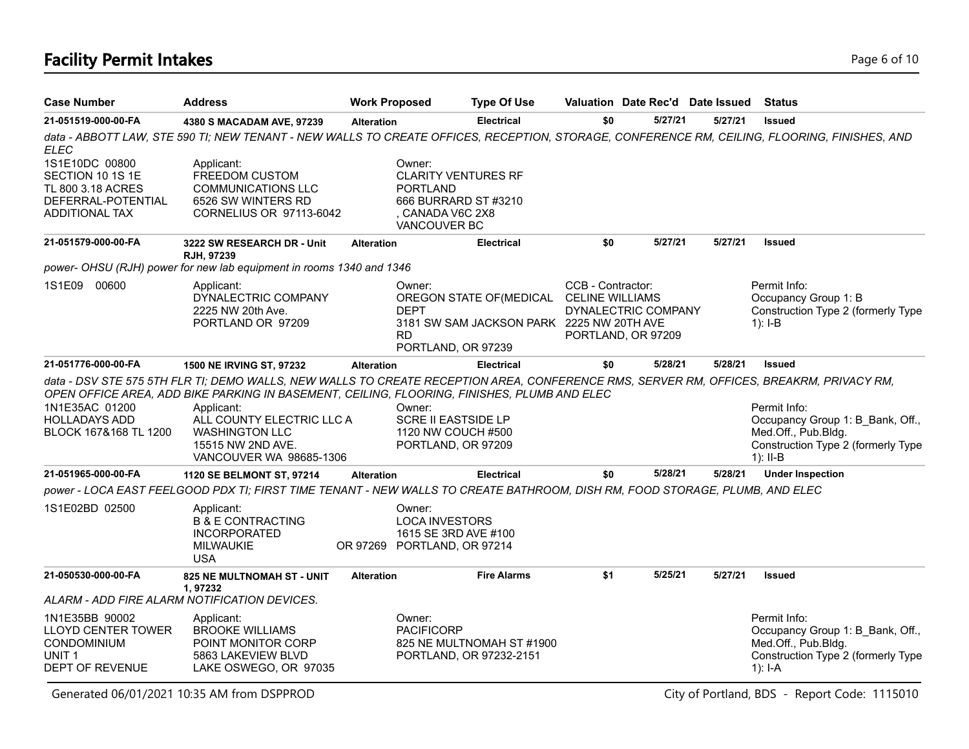## **Facility Permit Intakes** Page 6 of 10

| <b>Case Number</b>                                                                                               | <b>Address</b>                                                                                                                                                                                                                         | <b>Work Proposed</b>               | <b>Type Of Use</b>                                                                                        |                                             | Valuation Date Rec'd Date Issued Status   |         |                                                                                                                                              |
|------------------------------------------------------------------------------------------------------------------|----------------------------------------------------------------------------------------------------------------------------------------------------------------------------------------------------------------------------------------|------------------------------------|-----------------------------------------------------------------------------------------------------------|---------------------------------------------|-------------------------------------------|---------|----------------------------------------------------------------------------------------------------------------------------------------------|
| 21-051519-000-00-FA                                                                                              | 4380 S MACADAM AVE, 97239                                                                                                                                                                                                              | <b>Alteration</b>                  | <b>Electrical</b>                                                                                         | \$0                                         | 5/27/21                                   | 5/27/21 | <b>Issued</b>                                                                                                                                |
| ELEC                                                                                                             |                                                                                                                                                                                                                                        |                                    |                                                                                                           |                                             |                                           |         | data - ABBOTT LAW, STE 590 TI; NEW TENANT - NEW WALLS TO CREATE OFFICES, RECEPTION, STORAGE, CONFERENCE RM, CEILING, FLOORING, FINISHES, AND |
| 1S1E10DC 00800<br>SECTION 10 1S 1E<br>TL 800 3.18 ACRES<br>DEFERRAL-POTENTIAL<br><b>ADDITIONAL TAX</b>           | Applicant:<br>FREEDOM CUSTOM<br><b>COMMUNICATIONS LLC</b><br>6526 SW WINTERS RD<br>CORNELIUS OR 97113-6042                                                                                                                             | Owner:                             | <b>CLARITY VENTURES RF</b><br><b>PORTLAND</b><br>666 BURRARD ST #3210<br>. CANADA V6C 2X8<br>VANCOUVER BC |                                             |                                           |         |                                                                                                                                              |
| 21-051579-000-00-FA                                                                                              | 3222 SW RESEARCH DR - Unit<br><b>RJH. 97239</b>                                                                                                                                                                                        | <b>Alteration</b>                  | <b>Electrical</b>                                                                                         | \$0                                         | 5/27/21                                   | 5/27/21 | <b>Issued</b>                                                                                                                                |
|                                                                                                                  | power- OHSU (RJH) power for new lab equipment in rooms 1340 and 1346                                                                                                                                                                   |                                    |                                                                                                           |                                             |                                           |         |                                                                                                                                              |
| 1S1E09 00600                                                                                                     | Applicant:<br>DYNALECTRIC COMPANY<br>2225 NW 20th Ave.<br>PORTLAND OR 97209                                                                                                                                                            | Owner:<br><b>DEPT</b><br><b>RD</b> | OREGON STATE OF (MEDICAL<br>3181 SW SAM JACKSON PARK 2225 NW 20TH AVE<br>PORTLAND, OR 97239               | CCB - Contractor:<br><b>CELINE WILLIAMS</b> | DYNALECTRIC COMPANY<br>PORTLAND, OR 97209 |         | Permit Info:<br>Occupancy Group 1: B<br>Construction Type 2 (formerly Type<br>$1$ : I-B                                                      |
| 21-051776-000-00-FA                                                                                              | 1500 NE IRVING ST, 97232                                                                                                                                                                                                               | <b>Alteration</b>                  | <b>Electrical</b>                                                                                         | \$0                                         | 5/28/21                                   | 5/28/21 | <b>Issued</b>                                                                                                                                |
|                                                                                                                  | data - DSV STE 575 5TH FLR TI; DEMO WALLS, NEW WALLS TO CREATE RECEPTION AREA, CONFERENCE RMS, SERVER RM, OFFICES, BREAKRM, PRIVACY RM,<br>OPEN OFFICE AREA, ADD BIKE PARKING IN BASEMENT, CEILING, FLOORING, FINISHES, PLUMB AND ELEC |                                    |                                                                                                           |                                             |                                           |         |                                                                                                                                              |
| 1N1E35AC 01200<br><b>HOLLADAYS ADD</b><br>BLOCK 167&168 TL 1200                                                  | Applicant:<br>ALL COUNTY ELECTRIC LLC A<br><b>WASHINGTON LLC</b><br>15515 NW 2ND AVE.<br>VANCOUVER WA 98685-1306                                                                                                                       | Owner:                             | <b>SCRE II EASTSIDE LP</b><br>1120 NW COUCH #500<br>PORTLAND, OR 97209                                    |                                             |                                           |         | Permit Info:<br>Occupancy Group 1: B Bank, Off.,<br>Med.Off., Pub.Bldg.<br>Construction Type 2 (formerly Type<br>1): $II-B$                  |
| 21-051965-000-00-FA                                                                                              | <b>1120 SE BELMONT ST, 97214</b>                                                                                                                                                                                                       | <b>Alteration</b>                  | <b>Electrical</b>                                                                                         | \$0                                         | 5/28/21                                   | 5/28/21 | <b>Under Inspection</b>                                                                                                                      |
|                                                                                                                  | power - LOCA EAST FEELGOOD PDX TI; FIRST TIME TENANT - NEW WALLS TO CREATE BATHROOM, DISH RM, FOOD STORAGE, PLUMB, AND ELEC                                                                                                            |                                    |                                                                                                           |                                             |                                           |         |                                                                                                                                              |
| 1S1E02BD 02500                                                                                                   | Applicant:<br><b>B &amp; E CONTRACTING</b><br><b>INCORPORATED</b><br>MILWAUKIE<br><b>USA</b>                                                                                                                                           | Owner:                             | <b>LOCA INVESTORS</b><br>1615 SE 3RD AVE #100<br>OR 97269 PORTLAND, OR 97214                              |                                             |                                           |         |                                                                                                                                              |
| 21-050530-000-00-FA                                                                                              | <b>825 NE MULTNOMAH ST - UNIT</b><br>1,97232                                                                                                                                                                                           | <b>Alteration</b>                  | <b>Fire Alarms</b>                                                                                        | \$1                                         | 5/25/21                                   | 5/27/21 | <b>Issued</b>                                                                                                                                |
|                                                                                                                  | ALARM - ADD FIRE ALARM NOTIFICATION DEVICES.                                                                                                                                                                                           |                                    |                                                                                                           |                                             |                                           |         |                                                                                                                                              |
| 1N1E35BB 90002<br><b>LLOYD CENTER TOWER</b><br><b>CONDOMINIUM</b><br>UNIT <sub>1</sub><br><b>DEPT OF REVENUE</b> | Applicant:<br><b>BROOKE WILLIAMS</b><br>POINT MONITOR CORP<br>5863 LAKEVIEW BLVD<br>LAKE OSWEGO, OR 97035                                                                                                                              | Owner:                             | <b>PACIFICORP</b><br>825 NE MULTNOMAH ST #1900<br>PORTLAND, OR 97232-2151                                 |                                             |                                           |         | Permit Info:<br>Occupancy Group 1: B Bank, Off.,<br>Med.Off., Pub.Bldg.<br>Construction Type 2 (formerly Type<br>1): $I - A$                 |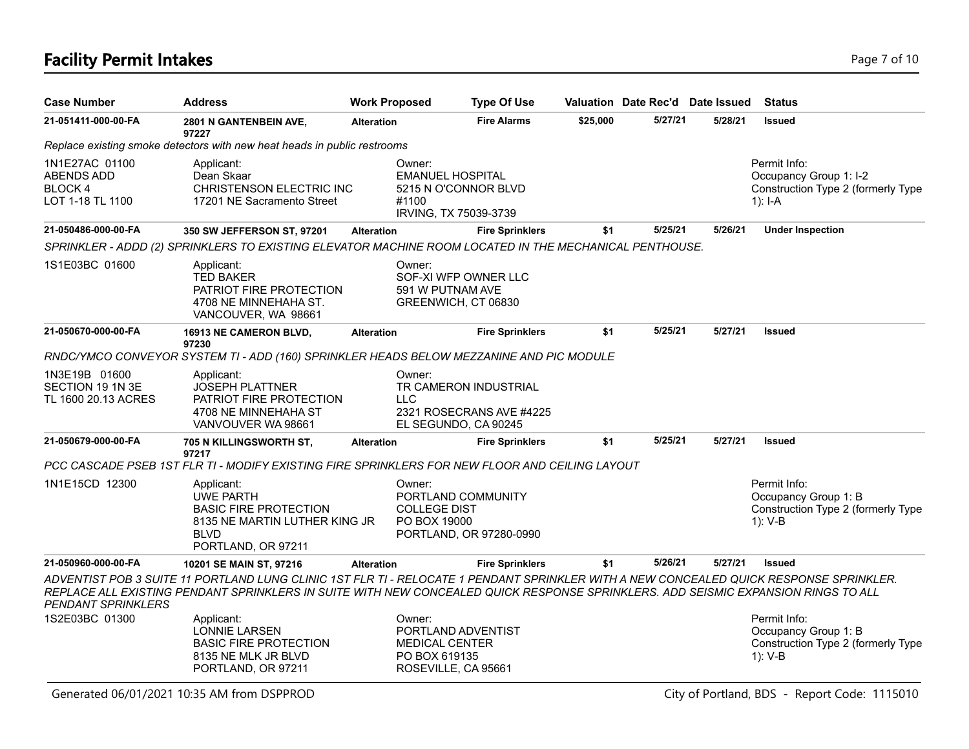## **Facility Permit Intakes** Page 7 of 10

| <b>Case Number</b>                                                        | <b>Address</b>                                                                                                                                                                                                                                                              | <b>Work Proposed</b> | <b>Type Of Use</b>                                                                   | Valuation Date Rec'd Date Issued |         |         | <b>Status</b>                                                                             |
|---------------------------------------------------------------------------|-----------------------------------------------------------------------------------------------------------------------------------------------------------------------------------------------------------------------------------------------------------------------------|----------------------|--------------------------------------------------------------------------------------|----------------------------------|---------|---------|-------------------------------------------------------------------------------------------|
| 21-051411-000-00-FA                                                       | 2801 N GANTENBEIN AVE,                                                                                                                                                                                                                                                      | <b>Alteration</b>    | <b>Fire Alarms</b>                                                                   | \$25,000                         | 5/27/21 | 5/28/21 | <b>Issued</b>                                                                             |
|                                                                           | 97227<br>Replace existing smoke detectors with new heat heads in public restrooms                                                                                                                                                                                           |                      |                                                                                      |                                  |         |         |                                                                                           |
| 1N1E27AC 01100<br><b>ABENDS ADD</b><br><b>BLOCK 4</b><br>LOT 1-18 TL 1100 | Applicant:<br>Dean Skaar<br>CHRISTENSON ELECTRIC INC<br>17201 NE Sacramento Street                                                                                                                                                                                          | Owner:<br>#1100      | <b>EMANUEL HOSPITAL</b><br>5215 N O'CONNOR BLVD<br>IRVING, TX 75039-3739             |                                  |         |         | Permit Info:<br>Occupancy Group 1: I-2<br>Construction Type 2 (formerly Type<br>$1$ : I-A |
| 21-050486-000-00-FA                                                       | 350 SW JEFFERSON ST, 97201                                                                                                                                                                                                                                                  | <b>Alteration</b>    | <b>Fire Sprinklers</b>                                                               | \$1                              | 5/25/21 | 5/26/21 | <b>Under Inspection</b>                                                                   |
|                                                                           | SPRINKLER - ADDD (2) SPRINKLERS TO EXISTING ELEVATOR MACHINE ROOM LOCATED IN THE MECHANICAL PENTHOUSE.                                                                                                                                                                      |                      |                                                                                      |                                  |         |         |                                                                                           |
| 1S1E03BC 01600                                                            | Applicant:<br><b>TED BAKER</b><br>PATRIOT FIRE PROTECTION<br>4708 NE MINNEHAHA ST.<br>VANCOUVER, WA 98661                                                                                                                                                                   | Owner:               | SOF-XI WFP OWNER LLC<br>591 W PUTNAM AVE<br>GREENWICH, CT 06830                      |                                  |         |         |                                                                                           |
| 21-050670-000-00-FA                                                       | 16913 NE CAMERON BLVD,<br>97230                                                                                                                                                                                                                                             | <b>Alteration</b>    | <b>Fire Sprinklers</b>                                                               | \$1                              | 5/25/21 | 5/27/21 | <b>Issued</b>                                                                             |
|                                                                           | RNDC/YMCO CONVEYOR SYSTEM TI - ADD (160) SPRINKLER HEADS BELOW MEZZANINE AND PIC MODULE                                                                                                                                                                                     |                      |                                                                                      |                                  |         |         |                                                                                           |
| 1N3E19B 01600<br>SECTION 19 1N 3E<br>TL 1600 20.13 ACRES                  | Applicant:<br><b>JOSEPH PLATTNER</b><br>PATRIOT FIRE PROTECTION<br>4708 NE MINNEHAHA ST<br>VANVOUVER WA 98661                                                                                                                                                               | Owner:<br><b>LLC</b> | TR CAMERON INDUSTRIAL<br>2321 ROSECRANS AVE #4225<br>EL SEGUNDO, CA 90245            |                                  |         |         |                                                                                           |
| 21-050679-000-00-FA                                                       | 705 N KILLINGSWORTH ST,<br>97217                                                                                                                                                                                                                                            | <b>Alteration</b>    | <b>Fire Sprinklers</b>                                                               | \$1                              | 5/25/21 | 5/27/21 | <b>Issued</b>                                                                             |
|                                                                           | PCC CASCADE PSEB 1ST FLR TI - MODIFY EXISTING FIRE SPRINKLERS FOR NEW FLOOR AND CEILING LAYOUT                                                                                                                                                                              |                      |                                                                                      |                                  |         |         |                                                                                           |
| 1N1E15CD 12300                                                            | Applicant:<br><b>UWE PARTH</b><br><b>BASIC FIRE PROTECTION</b><br>8135 NE MARTIN LUTHER KING JR<br><b>BLVD</b><br>PORTLAND, OR 97211                                                                                                                                        | Owner:               | PORTLAND COMMUNITY<br><b>COLLEGE DIST</b><br>PO BOX 19000<br>PORTLAND, OR 97280-0990 |                                  |         |         | Permit Info:<br>Occupancy Group 1: B<br>Construction Type 2 (formerly Type<br>1): V-B     |
| 21-050960-000-00-FA                                                       | 10201 SE MAIN ST, 97216                                                                                                                                                                                                                                                     | <b>Alteration</b>    | <b>Fire Sprinklers</b>                                                               | \$1                              | 5/26/21 | 5/27/21 | <b>Issued</b>                                                                             |
| <b>PENDANT SPRINKLERS</b>                                                 | ADVENTIST POB 3 SUITE 11 PORTLAND LUNG CLINIC 1ST FLR TI - RELOCATE 1 PENDANT SPRINKLER WITH A NEW CONCEALED QUICK RESPONSE SPRINKLER.<br>REPLACE ALL EXISTING PENDANT SPRINKLERS IN SUITE WITH NEW CONCEALED QUICK RESPONSE SPRINKLERS. ADD SEISMIC EXPANSION RINGS TO ALL |                      |                                                                                      |                                  |         |         |                                                                                           |
| 1S2E03BC 01300                                                            | Applicant:<br><b>LONNIE LARSEN</b><br><b>BASIC FIRE PROTECTION</b><br>8135 NE MLK JR BLVD<br>PORTLAND, OR 97211                                                                                                                                                             | Owner:               | PORTLAND ADVENTIST<br><b>MEDICAL CENTER</b><br>PO BOX 619135<br>ROSEVILLE, CA 95661  |                                  |         |         | Permit Info:<br>Occupancy Group 1: B<br>Construction Type 2 (formerly Type<br>1): V-B     |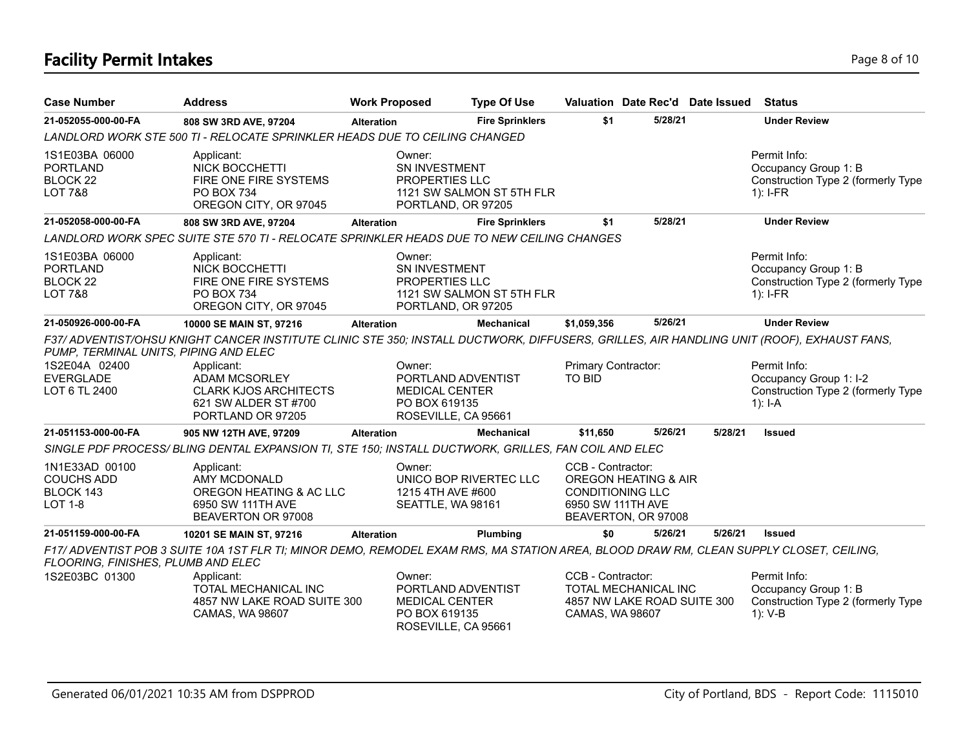# **Facility Permit Intakes** Page 8 of 10

| <b>Case Number</b>                                                                          | <b>Address</b>                                                                                                                                                                                                                                               | <b>Work Proposed</b> |                                                                                               | <b>Type Of Use</b>        |                                                                                                                             |         | Valuation Date Rec'd Date Issued | <b>Status</b>                                                                             |
|---------------------------------------------------------------------------------------------|--------------------------------------------------------------------------------------------------------------------------------------------------------------------------------------------------------------------------------------------------------------|----------------------|-----------------------------------------------------------------------------------------------|---------------------------|-----------------------------------------------------------------------------------------------------------------------------|---------|----------------------------------|-------------------------------------------------------------------------------------------|
| 21-052055-000-00-FA                                                                         | 808 SW 3RD AVE, 97204                                                                                                                                                                                                                                        | <b>Alteration</b>    |                                                                                               | <b>Fire Sprinklers</b>    | \$1                                                                                                                         | 5/28/21 |                                  | <b>Under Review</b>                                                                       |
|                                                                                             |                                                                                                                                                                                                                                                              |                      | LANDLORD WORK STE 500 TI - RELOCATE SPRINKLER HEADS DUE TO CEILING CHANGED                    |                           |                                                                                                                             |         |                                  |                                                                                           |
| 1S1E03BA 06000<br><b>PORTLAND</b><br>BLOCK 22<br><b>LOT 7&amp;8</b>                         | Applicant:<br>NICK BOCCHETTI<br>FIRE ONE FIRE SYSTEMS<br><b>PO BOX 734</b><br>OREGON CITY, OR 97045                                                                                                                                                          |                      | Owner:<br>SN INVESTMENT<br>PROPERTIES LLC<br>PORTLAND, OR 97205                               | 1121 SW SALMON ST 5TH FLR |                                                                                                                             |         |                                  | Permit Info:<br>Occupancy Group 1: B<br>Construction Type 2 (formerly Type<br>$1$ : I-FR  |
| 21-052058-000-00-FA                                                                         | 808 SW 3RD AVE, 97204                                                                                                                                                                                                                                        | <b>Alteration</b>    |                                                                                               | <b>Fire Sprinklers</b>    | \$1                                                                                                                         | 5/28/21 |                                  | <b>Under Review</b>                                                                       |
|                                                                                             | LANDLORD WORK SPEC SUITE STE 570 TI - RELOCATE SPRINKLER HEADS DUE TO NEW CEILING CHANGES                                                                                                                                                                    |                      |                                                                                               |                           |                                                                                                                             |         |                                  |                                                                                           |
| 1S1E03BA 06000<br><b>PORTLAND</b><br>BLOCK 22<br><b>LOT 7&amp;8</b>                         | Applicant:<br><b>NICK BOCCHETTI</b><br>FIRE ONE FIRE SYSTEMS<br><b>PO BOX 734</b><br>OREGON CITY, OR 97045                                                                                                                                                   |                      | Owner:<br>SN INVESTMENT<br>PROPERTIES LLC<br>PORTLAND, OR 97205                               | 1121 SW SALMON ST 5TH FLR |                                                                                                                             |         |                                  | Permit Info:<br>Occupancy Group 1: B<br>Construction Type 2 (formerly Type<br>$1$ : I-FR  |
| 21-050926-000-00-FA                                                                         | 10000 SE MAIN ST, 97216                                                                                                                                                                                                                                      | <b>Alteration</b>    |                                                                                               | <b>Mechanical</b>         | \$1,059,356                                                                                                                 | 5/26/21 |                                  | <b>Under Review</b>                                                                       |
| PUMP, TERMINAL UNITS, PIPING AND ELEC<br>1S2E04A 02400<br><b>EVERGLADE</b><br>LOT 6 TL 2400 | F37/ ADVENTIST/OHSU KNIGHT CANCER INSTITUTE CLINIC STE 350; INSTALL DUCTWORK, DIFFUSERS, GRILLES, AIR HANDLING UNIT (ROOF), EXHAUST FANS,<br>Applicant:<br><b>ADAM MCSORLEY</b><br><b>CLARK KJOS ARCHITECTS</b><br>621 SW ALDER ST #700<br>PORTLAND OR 97205 |                      | Owner:<br>PORTLAND ADVENTIST<br><b>MEDICAL CENTER</b><br>PO BOX 619135<br>ROSEVILLE, CA 95661 |                           | Primary Contractor:<br><b>TO BID</b>                                                                                        |         |                                  | Permit Info:<br>Occupancy Group 1: I-2<br>Construction Type 2 (formerly Type<br>$1$ : I-A |
| 21-051153-000-00-FA                                                                         | 905 NW 12TH AVE, 97209                                                                                                                                                                                                                                       | <b>Alteration</b>    |                                                                                               | <b>Mechanical</b>         | \$11,650                                                                                                                    | 5/26/21 | 5/28/21                          | <b>Issued</b>                                                                             |
|                                                                                             | SINGLE PDF PROCESS/ BLING DENTAL EXPANSION TI, STE 150; INSTALL DUCTWORK, GRILLES, FAN COIL AND ELEC                                                                                                                                                         |                      |                                                                                               |                           |                                                                                                                             |         |                                  |                                                                                           |
| 1N1E33AD 00100<br><b>COUCHS ADD</b><br>BLOCK 143<br><b>LOT 1-8</b>                          | Applicant:<br>AMY MCDONALD<br>OREGON HEATING & AC LLC<br>6950 SW 111TH AVE<br>BEAVERTON OR 97008                                                                                                                                                             |                      | Owner:<br>UNICO BOP RIVERTEC LLC<br>1215 4TH AVE #600<br>SEATTLE, WA 98161                    |                           | CCB - Contractor:<br><b>OREGON HEATING &amp; AIR</b><br><b>CONDITIONING LLC</b><br>6950 SW 111TH AVE<br>BEAVERTON, OR 97008 |         |                                  |                                                                                           |
| 21-051159-000-00-FA                                                                         | 10201 SE MAIN ST, 97216                                                                                                                                                                                                                                      | Alteration           |                                                                                               | Plumbing                  | \$0                                                                                                                         | 5/26/21 | 5/26/21                          | <b>Issued</b>                                                                             |
| FLOORING, FINISHES, PLUMB AND ELEC<br>1S2E03BC 01300                                        | F17/ ADVENTIST POB 3 SUITE 10A 1ST FLR TI; MINOR DEMO, REMODEL EXAM RMS, MA STATION AREA, BLOOD DRAW RM, CLEAN SUPPLY CLOSET, CEILING,<br>Applicant:                                                                                                         |                      | Owner:                                                                                        |                           | CCB - Contractor:                                                                                                           |         |                                  | Permit Info:                                                                              |
|                                                                                             | TOTAL MECHANICAL INC<br>4857 NW LAKE ROAD SUITE 300<br>CAMAS, WA 98607                                                                                                                                                                                       |                      | PORTLAND ADVENTIST<br><b>MEDICAL CENTER</b><br>PO BOX 619135<br>ROSEVILLE, CA 95661           |                           | TOTAL MECHANICAL INC<br>4857 NW LAKE ROAD SUITE 300<br>CAMAS, WA 98607                                                      |         |                                  | Occupancy Group 1: B<br>Construction Type 2 (formerly Type<br>1): V-B                     |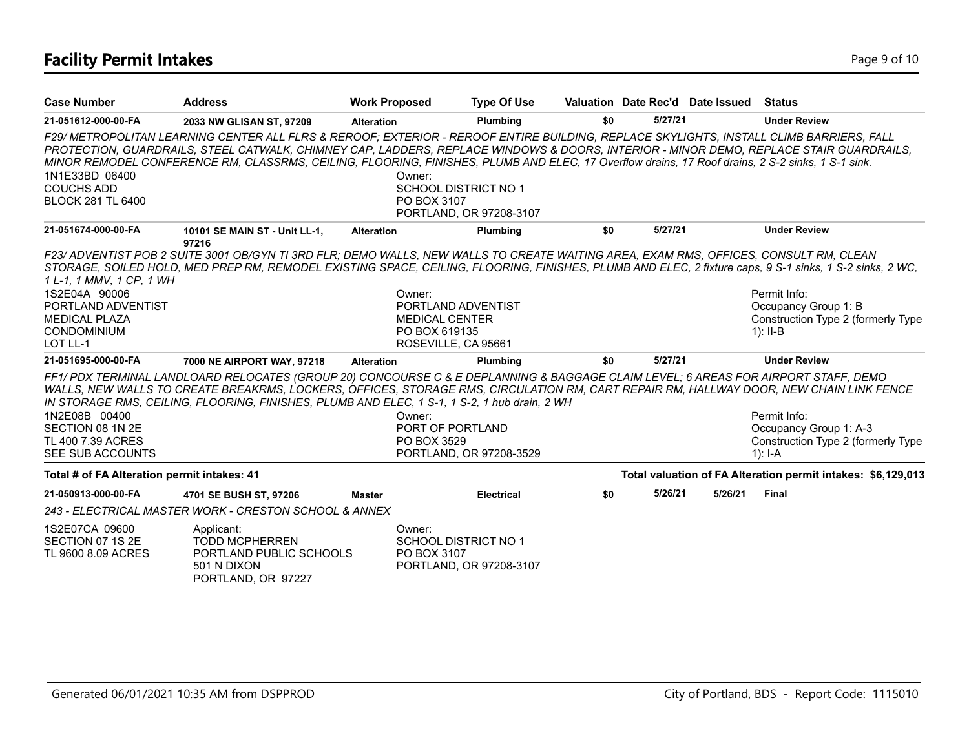# **Facility Permit Intakes** Page 9 of 10

| <b>Case Number</b>                                                         | <b>Address</b>                                                                                                                                                                                                                                                                                                                                                                                                                        | <b>Work Proposed</b> | <b>Type Of Use</b>                                                              |     | Valuation Date Rec'd Date Issued |         | Status                                                                                    |
|----------------------------------------------------------------------------|---------------------------------------------------------------------------------------------------------------------------------------------------------------------------------------------------------------------------------------------------------------------------------------------------------------------------------------------------------------------------------------------------------------------------------------|----------------------|---------------------------------------------------------------------------------|-----|----------------------------------|---------|-------------------------------------------------------------------------------------------|
| 21-051612-000-00-FA                                                        | 2033 NW GLISAN ST, 97209                                                                                                                                                                                                                                                                                                                                                                                                              | <b>Alteration</b>    | Plumbing                                                                        | \$0 | 5/27/21                          |         | <b>Under Review</b>                                                                       |
| 1N1E33BD 06400<br><b>COUCHS ADD</b><br><b>BLOCK 281 TL 6400</b>            | F29/ METROPOLITAN LEARNING CENTER ALL FLRS & REROOF; EXTERIOR - REROOF ENTIRE BUILDING, REPLACE SKYLIGHTS, INSTALL CLIMB BARRIERS, FALL<br>PROTECTION, GUARDRAILS, STEEL CATWALK, CHIMNEY CAP, LADDERS, REPLACE WINDOWS & DOORS, INTERIOR - MINOR DEMO, REPLACE STAIR GUARDRAILS,<br>MINOR REMODEL CONFERENCE RM, CLASSRMS, CEILING, FLOORING, FINISHES, PLUMB AND ELEC, 17 Overflow drains, 17 Roof drains, 2 S-2 sinks, 1 S-1 sink. |                      | Owner:<br><b>SCHOOL DISTRICT NO 1</b><br>PO BOX 3107<br>PORTLAND, OR 97208-3107 |     |                                  |         |                                                                                           |
| 21-051674-000-00-FA                                                        | 10101 SE MAIN ST - Unit LL-1,<br>97216                                                                                                                                                                                                                                                                                                                                                                                                | <b>Alteration</b>    | Plumbing                                                                        | \$0 | 5/27/21                          |         | <b>Under Review</b>                                                                       |
| 1 L-1, 1 MMV, 1 CP, 1 WH<br>1S2E04A 90006<br>PORTLAND ADVENTIST            | F23/ ADVENTIST POB 2 SUITE 3001 OB/GYN TI 3RD FLR; DEMO WALLS, NEW WALLS TO CREATE WAITING AREA, EXAM RMS, OFFICES, CONSULT RM, CLEAN<br>STORAGE, SOILED HOLD, MED PREP RM, REMODEL EXISTING SPACE, CEILING, FLOORING, FINISHES, PLUMB AND ELEC, 2 fixture caps, 9 S-1 sinks, 1 S-2 sinks, 2 WC,                                                                                                                                      |                      | Owner:<br>PORTLAND ADVENTIST                                                    |     |                                  |         | Permit Info:<br>Occupancy Group 1: B                                                      |
| <b>MEDICAL PLAZA</b><br><b>CONDOMINIUM</b><br>LOT LL-1                     |                                                                                                                                                                                                                                                                                                                                                                                                                                       |                      | <b>MEDICAL CENTER</b><br>PO BOX 619135<br>ROSEVILLE, CA 95661                   |     |                                  |         | Construction Type 2 (formerly Type<br>$1$ : II-B                                          |
| 21-051695-000-00-FA                                                        | 7000 NE AIRPORT WAY, 97218                                                                                                                                                                                                                                                                                                                                                                                                            | <b>Alteration</b>    | Plumbing                                                                        | \$0 | 5/27/21                          |         | <b>Under Review</b>                                                                       |
| 1N2E08B 00400<br>SECTION 08 1N 2E<br>TL 400 7.39 ACRES<br>SEE SUB ACCOUNTS | FF1/PDX TERMINAL LANDLOARD RELOCATES (GROUP 20) CONCOURSE C & E DEPLANNING & BAGGAGE CLAIM LEVEL; 6 AREAS FOR AIRPORT STAFF, DEMO<br>WALLS, NEW WALLS TO CREATE BREAKRMS, LOCKERS, OFFICES, STORAGE RMS, CIRCULATION RM, CART REPAIR RM, HALLWAY DOOR, NEW CHAIN LINK FENCE<br>IN STORAGE RMS, CEILING, FLOORING, FINISHES, PLUMB AND ELEC, 1 S-1, 1 S-2, 1 hub drain, 2 WH                                                           |                      | Owner:<br>PORT OF PORTLAND<br>PO BOX 3529<br>PORTLAND, OR 97208-3529            |     |                                  |         | Permit Info:<br>Occupancy Group 1: A-3<br>Construction Type 2 (formerly Type<br>$1$ : I-A |
| Total # of FA Alteration permit intakes: 41                                |                                                                                                                                                                                                                                                                                                                                                                                                                                       |                      |                                                                                 |     |                                  |         | Total valuation of FA Alteration permit intakes: \$6,129,013                              |
| 21-050913-000-00-FA                                                        | 4701 SE BUSH ST. 97206                                                                                                                                                                                                                                                                                                                                                                                                                | <b>Master</b>        | <b>Electrical</b>                                                               | \$0 | 5/26/21                          | 5/26/21 | <b>Final</b>                                                                              |
|                                                                            | 243 - ELECTRICAL MASTER WORK - CRESTON SCHOOL & ANNEX                                                                                                                                                                                                                                                                                                                                                                                 |                      |                                                                                 |     |                                  |         |                                                                                           |
| 1S2E07CA 09600<br>SECTION 07 1S 2E<br>TL 9600 8.09 ACRES                   | Applicant:<br><b>TODD MCPHERREN</b><br>PORTLAND PUBLIC SCHOOLS<br>501 N DIXON<br>PORTLAND, OR 97227                                                                                                                                                                                                                                                                                                                                   |                      | Owner:<br><b>SCHOOL DISTRICT NO 1</b><br>PO BOX 3107<br>PORTLAND, OR 97208-3107 |     |                                  |         |                                                                                           |